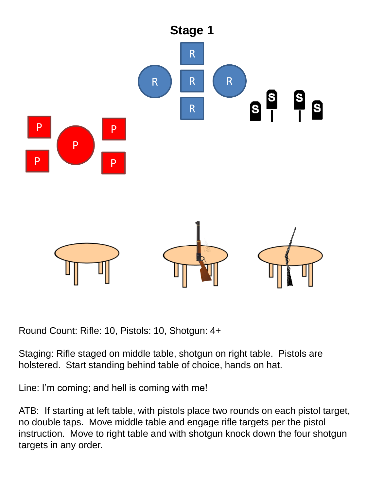

Round Count: Rifle: 10, Pistols: 10, Shotgun: 4+

Staging: Rifle staged on middle table, shotgun on right table. Pistols are holstered. Start standing behind table of choice, hands on hat.

Line: I'm coming; and hell is coming with me!

ATB: If starting at left table, with pistols place two rounds on each pistol target, no double taps. Move middle table and engage rifle targets per the pistol instruction. Move to right table and with shotgun knock down the four shotgun targets in any order.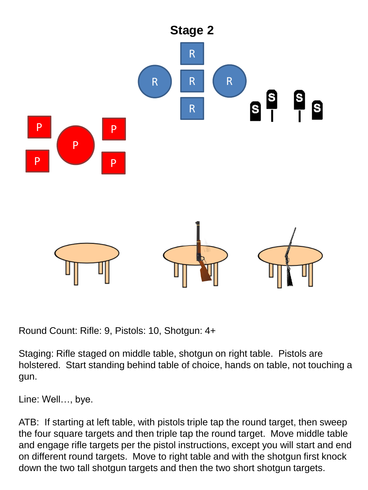

Round Count: Rifle: 9, Pistols: 10, Shotgun: 4+

Staging: Rifle staged on middle table, shotgun on right table. Pistols are holstered. Start standing behind table of choice, hands on table, not touching a gun.

Line: Well…, bye.

ATB: If starting at left table, with pistols triple tap the round target, then sweep the four square targets and then triple tap the round target. Move middle table and engage rifle targets per the pistol instructions, except you will start and end on different round targets. Move to right table and with the shotgun first knock down the two tall shotgun targets and then the two short shotgun targets.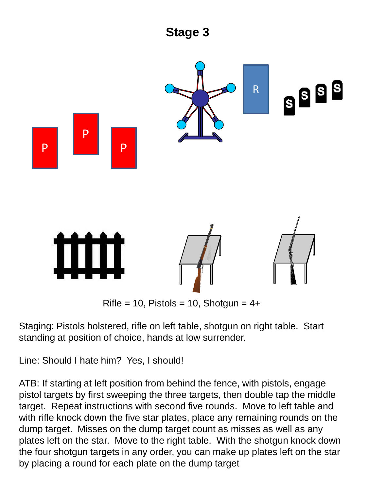

Staging: Pistols holstered, rifle on left table, shotgun on right table. Start standing at position of choice, hands at low surrender.

Line: Should I hate him? Yes, I should!

ATB: If starting at left position from behind the fence, with pistols, engage pistol targets by first sweeping the three targets, then double tap the middle target. Repeat instructions with second five rounds. Move to left table and with rifle knock down the five star plates, place any remaining rounds on the dump target. Misses on the dump target count as misses as well as any plates left on the star. Move to the right table. With the shotgun knock down the four shotgun targets in any order, you can make up plates left on the star by placing a round for each plate on the dump target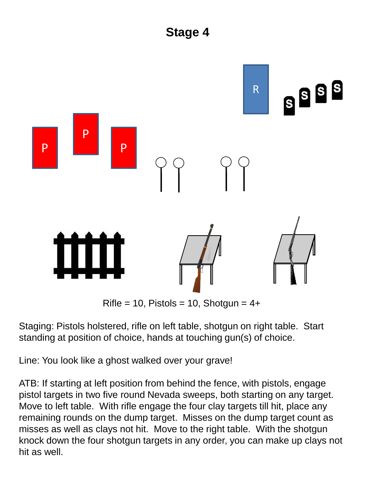

 $Rifle = 10$ , Pistols = 10, Shotgun =  $4+$ 

Staging: Pistols holstered, rifle on left table, shotgun on right table. Start standing at position of choice, hands at touching gun(s) of choice.

Line: You look like a ghost walked over your grave!

ATB: If starting at left position from behind the fence, with pistols, engage pistol targets in two five round Nevada sweeps, both starting on any target. Move to left table. With rifle engage the four clay targets till hit, place any remaining rounds on the dump target. Misses on the dump target count as misses as well as clays not hit. Move to the right table. With the shotgun knock down the four shotgun targets in any order, you can make up clays not hit as well.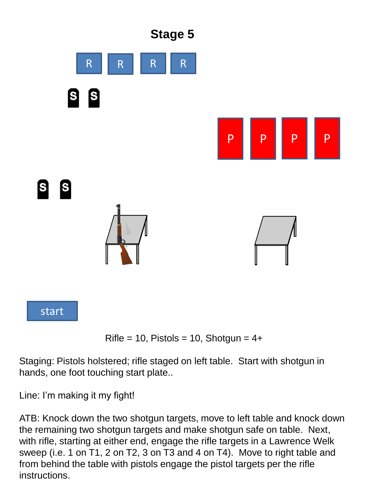

Rifle = 10, Pistols = 10, Shotgun =  $4+$ 

Staging: Pistols holstered; rifle staged on left table. Start with shotgun in hands, one foot touching start plate..

Line: I'm making it my fight!

ATB: Knock down the two shotgun targets, move to left table and knock down the remaining two shotgun targets and make shotgun safe on table. Next, with rifle, starting at either end, engage the rifle targets in a Lawrence Welk sweep (i.e. 1 on T1, 2 on T2, 3 on T3 and 4 on T4). Move to right table and from behind the table with pistols engage the pistol targets per the rifle instructions.